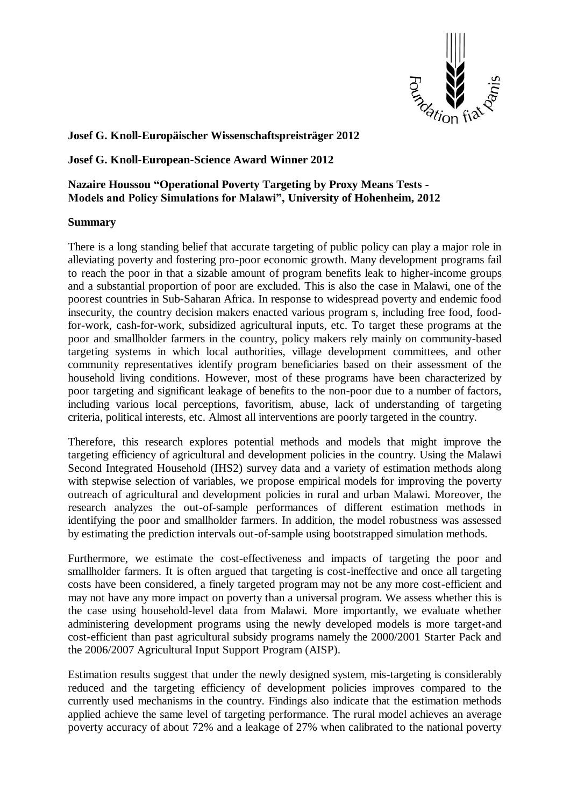

**Josef G. Knoll-Europäischer Wissenschaftspreisträger 2012**

**Josef G. Knoll-European-Science Award Winner 2012**

## **Nazaire Houssou "Operational Poverty Targeting by Proxy Means Tests - Models and Policy Simulations for Malawi", University of Hohenheim, 2012**

## **Summary**

There is a long standing belief that accurate targeting of public policy can play a major role in alleviating poverty and fostering pro-poor economic growth. Many development programs fail to reach the poor in that a sizable amount of program benefits leak to higher-income groups and a substantial proportion of poor are excluded. This is also the case in Malawi, one of the poorest countries in Sub-Saharan Africa. In response to widespread poverty and endemic food insecurity, the country decision makers enacted various program s, including free food, foodfor-work, cash-for-work, subsidized agricultural inputs, etc. To target these programs at the poor and smallholder farmers in the country, policy makers rely mainly on community-based targeting systems in which local authorities, village development committees, and other community representatives identify program beneficiaries based on their assessment of the household living conditions. However, most of these programs have been characterized by poor targeting and significant leakage of benefits to the non-poor due to a number of factors, including various local perceptions, favoritism, abuse, lack of understanding of targeting criteria, political interests, etc. Almost all interventions are poorly targeted in the country.

Therefore, this research explores potential methods and models that might improve the targeting efficiency of agricultural and development policies in the country. Using the Malawi Second Integrated Household (IHS2) survey data and a variety of estimation methods along with stepwise selection of variables, we propose empirical models for improving the poverty outreach of agricultural and development policies in rural and urban Malawi. Moreover, the research analyzes the out-of-sample performances of different estimation methods in identifying the poor and smallholder farmers. In addition, the model robustness was assessed by estimating the prediction intervals out-of-sample using bootstrapped simulation methods.

Furthermore, we estimate the cost-effectiveness and impacts of targeting the poor and smallholder farmers. It is often argued that targeting is cost-ineffective and once all targeting costs have been considered, a finely targeted program may not be any more cost-efficient and may not have any more impact on poverty than a universal program. We assess whether this is the case using household-level data from Malawi. More importantly, we evaluate whether administering development programs using the newly developed models is more target-and cost-efficient than past agricultural subsidy programs namely the 2000/2001 Starter Pack and the 2006/2007 Agricultural Input Support Program (AISP).

Estimation results suggest that under the newly designed system, mis-targeting is considerably reduced and the targeting efficiency of development policies improves compared to the currently used mechanisms in the country. Findings also indicate that the estimation methods applied achieve the same level of targeting performance. The rural model achieves an average poverty accuracy of about 72% and a leakage of 27% when calibrated to the national poverty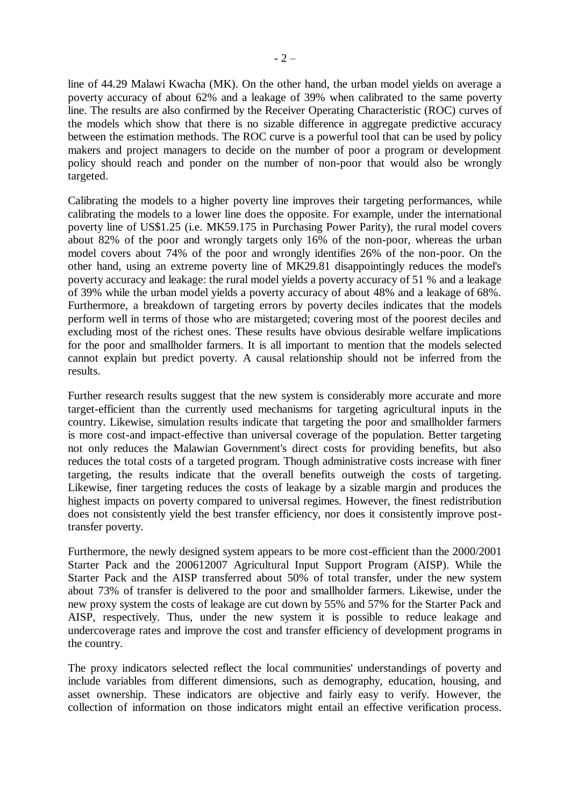line of 44.29 Malawi Kwacha (MK). On the other hand, the urban model yields on average a poverty accuracy of about 62% and a leakage of 39% when calibrated to the same poverty line. The results are also confirmed by the Receiver Operating Characteristic (ROC) curves of the models which show that there is no sizable difference in aggregate predictive accuracy between the estimation methods. The ROC curve is a powerful tool that can be used by policy makers and project managers to decide on the number of poor a program or development policy should reach and ponder on the number of non-poor that would also be wrongly targeted.

Calibrating the models to a higher poverty line improves their targeting performances, while calibrating the models to a lower line does the opposite. For example, under the international poverty line of US\$1.25 (i.e. MK59.175 in Purchasing Power Parity), the rural model covers about 82% of the poor and wrongly targets only 16% of the non-poor, whereas the urban model covers about 74% of the poor and wrongly identifies 26% of the non-poor. On the other hand, using an extreme poverty line of MK29.81 disappointingly reduces the model's poverty accuracy and leakage: the rural model yields a poverty accuracy of 51 % and a leakage of 39% while the urban model yields a poverty accuracy of about 48% and a leakage of 68%. Furthermore, a breakdown of targeting errors by poverty deciles indicates that the models perform well in terms of those who are mistargeted; covering most of the poorest deciles and excluding most of the richest ones. These results have obvious desirable welfare implications for the poor and smallholder farmers. It is all important to mention that the models selected cannot explain but predict poverty. A causal relationship should not be inferred from the results.

Further research results suggest that the new system is considerably more accurate and more target-efficient than the currently used mechanisms for targeting agricultural inputs in the country. Likewise, simulation results indicate that targeting the poor and smallholder farmers is more cost-and impact-effective than universal coverage of the population. Better targeting not only reduces the Malawian Government's direct costs for providing benefits, but also reduces the total costs of a targeted program. Though administrative costs increase with finer targeting, the results indicate that the overall benefits outweigh the costs of targeting. Likewise, finer targeting reduces the costs of leakage by a sizable margin and produces the highest impacts on poverty compared to universal regimes. However, the finest redistribution does not consistently yield the best transfer efficiency, nor does it consistently improve posttransfer poverty.

Furthermore, the newly designed system appears to be more cost-efficient than the 2000/2001 Starter Pack and the 200612007 Agricultural Input Support Program (AISP). While the Starter Pack and the AISP transferred about 50% of total transfer, under the new system about 73% of transfer is delivered to the poor and smallholder farmers. Likewise, under the new proxy system the costs of leakage are cut down by 55% and 57% for the Starter Pack and AISP, respectively. Thus, under the new system it is possible to reduce leakage and undercoverage rates and improve the cost and transfer efficiency of development programs in the country.

The proxy indicators selected reflect the local communities' understandings of poverty and include variables from different dimensions, such as demography, education, housing, and asset ownership. These indicators are objective and fairly easy to verify. However, the collection of information on those indicators might entail an effective verification process.